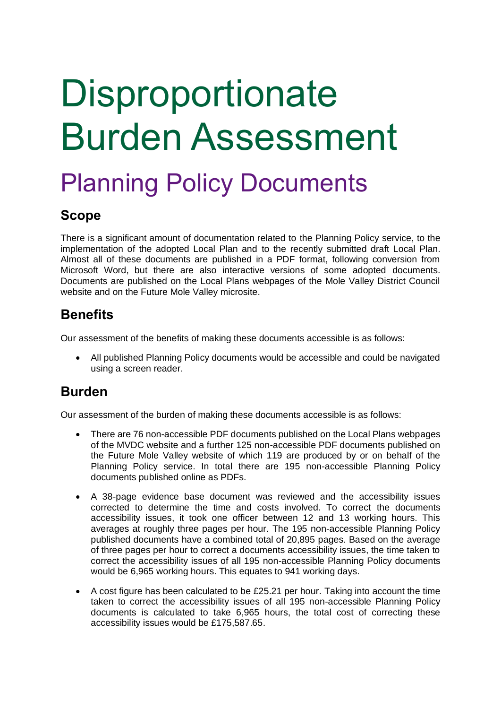# **Disproportionate** Burden Assessment

# Planning Policy Documents

#### **Scope**

There is a significant amount of documentation related to the Planning Policy service, to the implementation of the adopted Local Plan and to the recently submitted draft Local Plan. Almost all of these documents are published in a PDF format, following conversion from Microsoft Word, but there are also interactive versions of some adopted documents. Documents are published on the Local Plans webpages of the Mole Valley District Council website and on the Future Mole Valley microsite.

### **Benefits**

Our assessment of the benefits of making these documents accessible is as follows:

• All published Planning Policy documents would be accessible and could be navigated using a screen reader.

## **Burden**

Our assessment of the burden of making these documents accessible is as follows:

- There are 76 non-accessible PDF documents published on the Local Plans webpages of the MVDC website and a further 125 non-accessible PDF documents published on the Future Mole Valley website of which 119 are produced by or on behalf of the Planning Policy service. In total there are 195 non-accessible Planning Policy documents published online as PDFs.
- A 38-page evidence base document was reviewed and the accessibility issues corrected to determine the time and costs involved. To correct the documents accessibility issues, it took one officer between 12 and 13 working hours. This averages at roughly three pages per hour. The 195 non-accessible Planning Policy published documents have a combined total of 20,895 pages. Based on the average of three pages per hour to correct a documents accessibility issues, the time taken to correct the accessibility issues of all 195 non-accessible Planning Policy documents would be 6,965 working hours. This equates to 941 working days.
- A cost figure has been calculated to be £25.21 per hour. Taking into account the time taken to correct the accessibility issues of all 195 non-accessible Planning Policy documents is calculated to take 6,965 hours, the total cost of correcting these accessibility issues would be £175,587.65.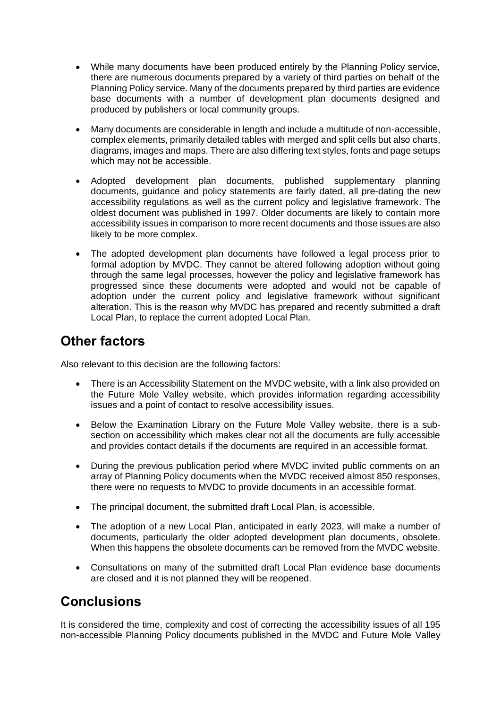- While many documents have been produced entirely by the Planning Policy service, there are numerous documents prepared by a variety of third parties on behalf of the Planning Policy service. Many of the documents prepared by third parties are evidence base documents with a number of development plan documents designed and produced by publishers or local community groups.
- Many documents are considerable in length and include a multitude of non-accessible, complex elements, primarily detailed tables with merged and split cells but also charts, diagrams, images and maps. There are also differing text styles, fonts and page setups which may not be accessible.
- Adopted development plan documents, published supplementary planning documents, guidance and policy statements are fairly dated, all pre-dating the new accessibility regulations as well as the current policy and legislative framework. The oldest document was published in 1997. Older documents are likely to contain more accessibility issues in comparison to more recent documents and those issues are also likely to be more complex.
- The adopted development plan documents have followed a legal process prior to formal adoption by MVDC. They cannot be altered following adoption without going through the same legal processes, however the policy and legislative framework has progressed since these documents were adopted and would not be capable of adoption under the current policy and legislative framework without significant alteration. This is the reason why MVDC has prepared and recently submitted a draft Local Plan, to replace the current adopted Local Plan.

#### **Other factors**

Also relevant to this decision are the following factors:

- There is an Accessibility Statement on the MVDC website, with a link also provided on the Future Mole Valley website, which provides information regarding accessibility issues and a point of contact to resolve accessibility issues.
- Below the Examination Library on the Future Mole Valley website, there is a subsection on accessibility which makes clear not all the documents are fully accessible and provides contact details if the documents are required in an accessible format.
- During the previous publication period where MVDC invited public comments on an array of Planning Policy documents when the MVDC received almost 850 responses, there were no requests to MVDC to provide documents in an accessible format.
- The principal document, the submitted draft Local Plan, is accessible.
- The adoption of a new Local Plan, anticipated in early 2023, will make a number of documents, particularly the older adopted development plan documents, obsolete. When this happens the obsolete documents can be removed from the MVDC website.
- Consultations on many of the submitted draft Local Plan evidence base documents are closed and it is not planned they will be reopened.

#### **Conclusions**

It is considered the time, complexity and cost of correcting the accessibility issues of all 195 non-accessible Planning Policy documents published in the MVDC and Future Mole Valley